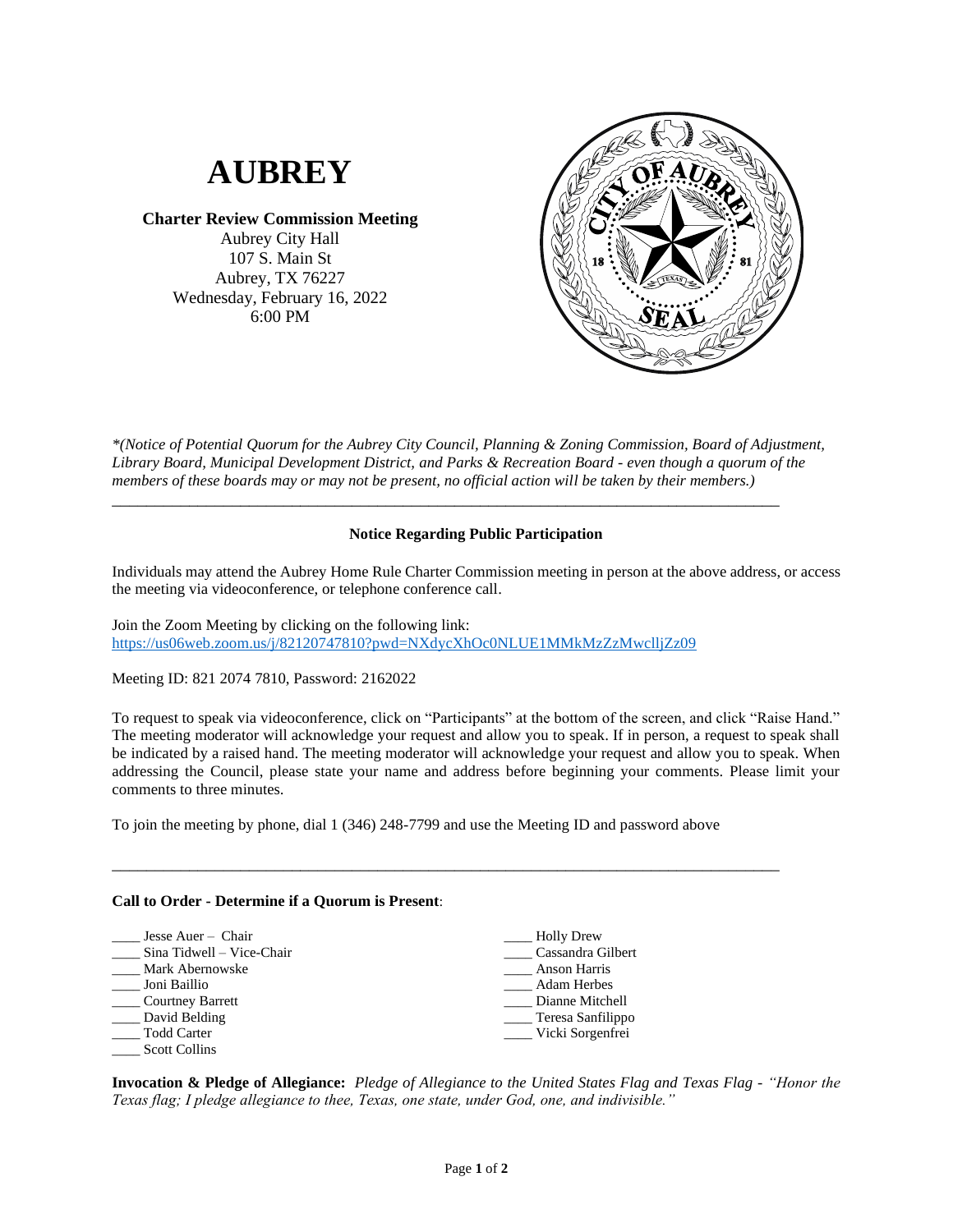

**Charter Review Commission Meeting** Aubrey City Hall

107 S. Main St Aubrey, TX 76227 Wednesday, February 16, 2022 6:00 PM



*\*(Notice of Potential Quorum for the Aubrey City Council, Planning & Zoning Commission, Board of Adjustment, Library Board, Municipal Development District, and Parks & Recreation Board - even though a quorum of the members of these boards may or may not be present, no official action will be taken by their members.)*

\_\_\_\_\_\_\_\_\_\_\_\_\_\_\_\_\_\_\_\_\_\_\_\_\_\_\_\_\_\_\_\_\_\_\_\_\_\_\_\_\_\_\_\_\_\_\_\_\_\_\_\_\_\_\_\_\_\_\_\_\_\_\_\_\_\_\_\_\_\_\_\_\_\_\_\_\_\_

## **Notice Regarding Public Participation**

Individuals may attend the Aubrey Home Rule Charter Commission meeting in person at the above address, or access the meeting via videoconference, or telephone conference call.

Join the Zoom Meeting by clicking on the following link: <https://us06web.zoom.us/j/82120747810?pwd=NXdycXhOc0NLUE1MMkMzZzMwclljZz09>

Meeting ID: 821 2074 7810, Password: 2162022

To request to speak via videoconference, click on "Participants" at the bottom of the screen, and click "Raise Hand." The meeting moderator will acknowledge your request and allow you to speak. If in person, a request to speak shall be indicated by a raised hand. The meeting moderator will acknowledge your request and allow you to speak. When addressing the Council, please state your name and address before beginning your comments. Please limit your comments to three minutes.

To join the meeting by phone, dial 1 (346) 248-7799 and use the Meeting ID and password above

\_\_\_\_\_\_\_\_\_\_\_\_\_\_\_\_\_\_\_\_\_\_\_\_\_\_\_\_\_\_\_\_\_\_\_\_\_\_\_\_\_\_\_\_\_\_\_\_\_\_\_\_\_\_\_\_\_\_\_\_\_\_\_\_\_\_\_\_\_\_\_\_\_\_\_\_\_\_

## **Call to Order - Determine if a Quorum is Present**:

| Jesse Auer – Chair        | Holly Drew         |
|---------------------------|--------------------|
| Sina Tidwell – Vice-Chair | Cassandra Gilbert  |
| Mark Abernowske           | Anson Harris       |
| Joni Baillio              | <b>Adam Herbes</b> |
| Courtney Barrett          | Dianne Mitchell    |
| David Belding             | Teresa Sanfilippo  |
| <b>Todd Carter</b>        | Vicki Sorgenfrei   |
| <b>Scott Collins</b>      |                    |

**Invocation & Pledge of Allegiance:** *Pledge of Allegiance to the United States Flag and Texas Flag - "Honor the Texas flag; I pledge allegiance to thee, Texas, one state, under God, one, and indivisible."*